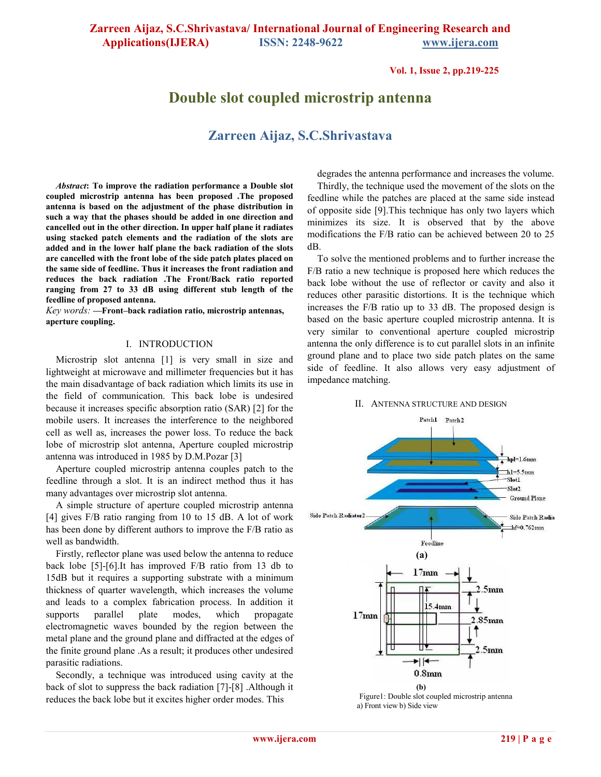**Vol. 1, Issue 2, pp.219-225**

# **Double slot coupled microstrip antenna**

# **Zarreen Aijaz, S.C.Shrivastava**

*Abstract***: To improve the radiation performance a Double slot coupled microstrip antenna has been proposed .The proposed antenna is based on the adjustment of the phase distribution in such a way that the phases should be added in one direction and cancelled out in the other direction. In upper half plane it radiates using stacked patch elements and the radiation of the slots are added and in the lower half plane the back radiation of the slots are cancelled with the front lobe of the side patch plates placed on the same side of feedline. Thus it increases the front radiation and reduces the back radiation .The Front/Back ratio reported ranging from 27 to 33 dB using different stub length of the feedline of proposed antenna.** 

*Key words: —***Front–back radiation ratio, microstrip antennas, aperture coupling.** 

#### I. INTRODUCTION

Microstrip slot antenna [1] is very small in size and lightweight at microwave and millimeter frequencies but it has the main disadvantage of back radiation which limits its use in the field of communication. This back lobe is undesired because it increases specific absorption ratio (SAR) [2] for the mobile users. It increases the interference to the neighbored cell as well as, increases the power loss. To reduce the back lobe of microstrip slot antenna, Aperture coupled microstrip antenna was introduced in 1985 by D.M.Pozar [3]

Aperture coupled microstrip antenna couples patch to the feedline through a slot. It is an indirect method thus it has many advantages over microstrip slot antenna.

A simple structure of aperture coupled microstrip antenna [4] gives F/B ratio ranging from 10 to 15 dB. A lot of work has been done by different authors to improve the F/B ratio as well as bandwidth.

Firstly, reflector plane was used below the antenna to reduce back lobe [5]-[6].It has improved F/B ratio from 13 db to 15dB but it requires a supporting substrate with a minimum thickness of quarter wavelength, which increases the volume and leads to a complex fabrication process. In addition it supports parallel plate modes, which propagate electromagnetic waves bounded by the region between the metal plane and the ground plane and diffracted at the edges of the finite ground plane .As a result; it produces other undesired parasitic radiations.

Secondly, a technique was introduced using cavity at the back of slot to suppress the back radiation [7]-[8] .Although it reduces the back lobe but it excites higher order modes. This

degrades the antenna performance and increases the volume.

Thirdly, the technique used the movement of the slots on the feedline while the patches are placed at the same side instead of opposite side [9].This technique has only two layers which minimizes its size. It is observed that by the above modifications the F/B ratio can be achieved between 20 to 25 dB.

To solve the mentioned problems and to further increase the F/B ratio a new technique is proposed here which reduces the back lobe without the use of reflector or cavity and also it reduces other parasitic distortions. It is the technique which increases the F/B ratio up to 33 dB. The proposed design is based on the basic aperture coupled microstrip antenna. It is very similar to conventional aperture coupled microstrip antenna the only difference is to cut parallel slots in an infinite ground plane and to place two side patch plates on the same side of feedline. It also allows very easy adjustment of impedance matching.

#### II. ANTENNA STRUCTURE AND DESIGN



Figure1: Double slot coupled microstrip antenna a) Front view b) Side view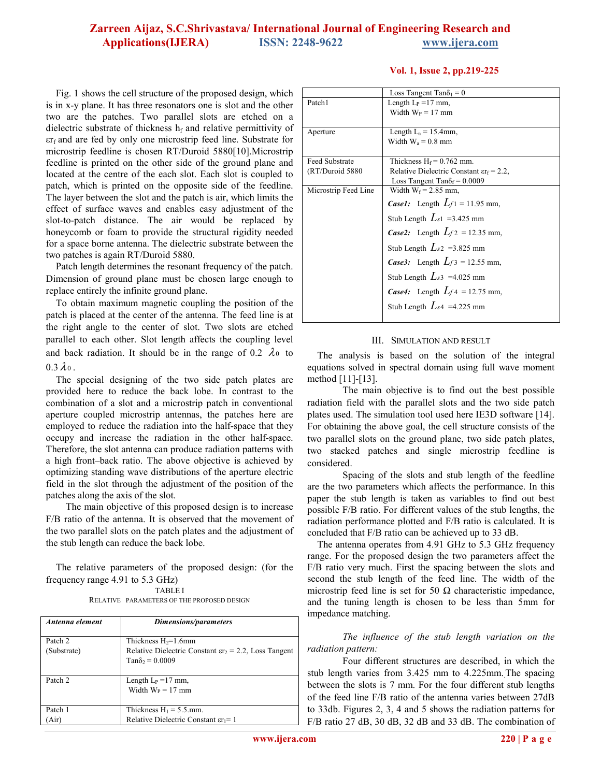**Vol. 1, Issue 2, pp.219-225**

Fig. 1 shows the cell structure of the proposed design, which is in x-y plane. It has three resonators one is slot and the other two are the patches. Two parallel slots are etched on a dielectric substrate of thickness  $h_f$  and relative permittivity of  $\epsilon r_f$  and are fed by only one microstrip feed line. Substrate for microstrip feedline is chosen RT/Duroid 5880[10].Microstrip feedline is printed on the other side of the ground plane and located at the centre of the each slot. Each slot is coupled to patch, which is printed on the opposite side of the feedline. The layer between the slot and the patch is air, which limits the effect of surface waves and enables easy adjustment of the slot-to-patch distance. The air would be replaced by honeycomb or foam to provide the structural rigidity needed for a space borne antenna. The dielectric substrate between the two patches is again RT/Duroid 5880.

Patch length determines the resonant frequency of the patch. Dimension of ground plane must be chosen large enough to replace entirely the infinite ground plane.

To obtain maximum magnetic coupling the position of the patch is placed at the center of the antenna. The feed line is at the right angle to the center of slot. Two slots are etched parallel to each other. Slot length affects the coupling level and back radiation. It should be in the range of 0.2  $\lambda$ <sup>0</sup> to  $0.3 \lambda_0$ .

The special designing of the two side patch plates are provided here to reduce the back lobe. In contrast to the combination of a slot and a microstrip patch in conventional aperture coupled microstrip antennas, the patches here are employed to reduce the radiation into the half-space that they occupy and increase the radiation in the other half-space. Therefore, the slot antenna can produce radiation patterns with a high front–back ratio. The above objective is achieved by optimizing standing wave distributions of the aperture electric field in the slot through the adjustment of the position of the patches along the axis of the slot.

The main objective of this proposed design is to increase F/B ratio of the antenna. It is observed that the movement of the two parallel slots on the patch plates and the adjustment of the stub length can reduce the back lobe.

The relative parameters of the proposed design: (for the frequency range 4.91 to 5.3 GHz)

TABLE I

RELATIVE PARAMETERS OF THE PROPOSED DESIGN

| Antenna element        | Dimensions/parameters                                                                                                |
|------------------------|----------------------------------------------------------------------------------------------------------------------|
| Patch 2<br>(Substrate) | Thickness $H_2=1.6$ mm<br>Relative Dielectric Constant $\epsilon r_2 = 2.2$ , Loss Tangent<br>$Tan\delta_2 = 0.0009$ |
| Patch 2                | Length $L_P = 17$ mm,<br>Width $W_P = 17$ mm                                                                         |
| Patch 1<br>Air)        | Thickness $H_1 = 5.5$ .mm.<br>Relative Dielectric Constant $\epsilon r_1 = 1$                                        |

|                       | Loss Tangent Tan $\delta_1 = 0$                     |  |  |
|-----------------------|-----------------------------------------------------|--|--|
| Patch1                | Length $L_P = 17$ mm,                               |  |  |
|                       | Width $W_P = 17$ mm                                 |  |  |
|                       |                                                     |  |  |
| Aperture              | Length $L_a = 15.4$ mm,                             |  |  |
|                       | Width $W_a = 0.8$ mm                                |  |  |
|                       |                                                     |  |  |
| <b>Feed Substrate</b> | Thickness $H_f = 0.762$ mm.                         |  |  |
| (RT/Duroid 5880)      | Relative Dielectric Constant $\epsilon r_f = 2.2$ , |  |  |
|                       | Loss Tangent Tan $\delta_f$ = 0.0009                |  |  |
| Microstrip Feed Line  | Width $W_f$ = 2.85 mm,                              |  |  |
|                       | <b>Case1:</b> Length $Lf_1 = 11.95$ mm,             |  |  |
|                       | Stub Length $L_{s1}$ =3.425 mm                      |  |  |
|                       | Case2: Length $L_f$ = 12.35 mm,                     |  |  |
|                       | Stub Length $L_{s2}$ =3.825 mm                      |  |  |
|                       | <i>Case3</i> : Length $L_f$ 3 = 12.55 mm,           |  |  |
|                       | Stub Length $L_{s3}$ =4.025 mm                      |  |  |
|                       | <b>Case4:</b> Length $L_f$ = 12.75 mm,              |  |  |
|                       | Stub Length $L_{s4}$ =4.225 mm                      |  |  |
|                       |                                                     |  |  |

#### III. SIMULATION AND RESULT

The analysis is based on the solution of the integral equations solved in spectral domain using full wave moment method [11]-[13].

The main objective is to find out the best possible radiation field with the parallel slots and the two side patch plates used. The simulation tool used here IE3D software [14]. For obtaining the above goal, the cell structure consists of the two parallel slots on the ground plane, two side patch plates, two stacked patches and single microstrip feedline is considered.

Spacing of the slots and stub length of the feedline are the two parameters which affects the performance. In this paper the stub length is taken as variables to find out best possible F/B ratio. For different values of the stub lengths, the radiation performance plotted and F/B ratio is calculated. It is concluded that F/B ratio can be achieved up to 33 dB.

 The antenna operates from 4.91 GHz to 5.3 GHz frequency range. For the proposed design the two parameters affect the F/B ratio very much. First the spacing between the slots and second the stub length of the feed line. The width of the microstrip feed line is set for 50  $\Omega$  characteristic impedance, and the tuning length is chosen to be less than 5mm for impedance matching.

*The influence of the stub length variation on the radiation pattern:* 

Four different structures are described, in which the stub length varies from 3.425 mm to 4.225mm. The spacing between the slots is 7 mm. For the four different stub lengths of the feed line F/B ratio of the antenna varies between 27dB to 33db. Figures 2, 3, 4 and 5 shows the radiation patterns for F/B ratio 27 dB, 30 dB, 32 dB and 33 dB. The combination of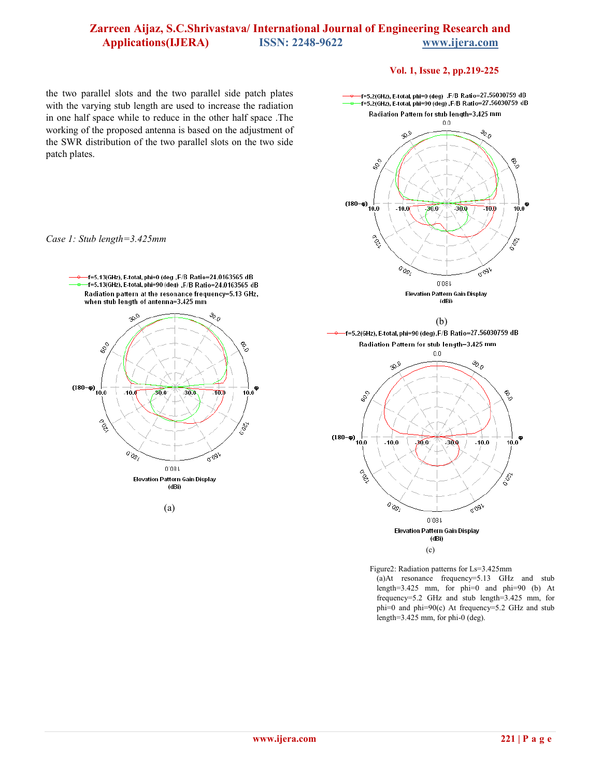### **Vol. 1, Issue 2, pp.219-225**

the two parallel slots and the two parallel side patch plates with the varying stub length are used to increase the radiation in one half space while to reduce in the other half space .The working of the proposed antenna is based on the adjustment of the SWR distribution of the two parallel slots on the two side patch plates.



(a)



 Figure2: Radiation patterns for Ls=3.425mm (a)At resonance frequency=5.13 GHz and stub length=3.425 mm, for phi=0 and phi=90 (b) At frequency=5.2 GHz and stub length=3.425 mm, for phi=0 and phi=90(c) At frequency=5.2 GHz and stub length=3.425 mm, for phi-0 (deg).

#### *Case 1: Stub length=3.425mm*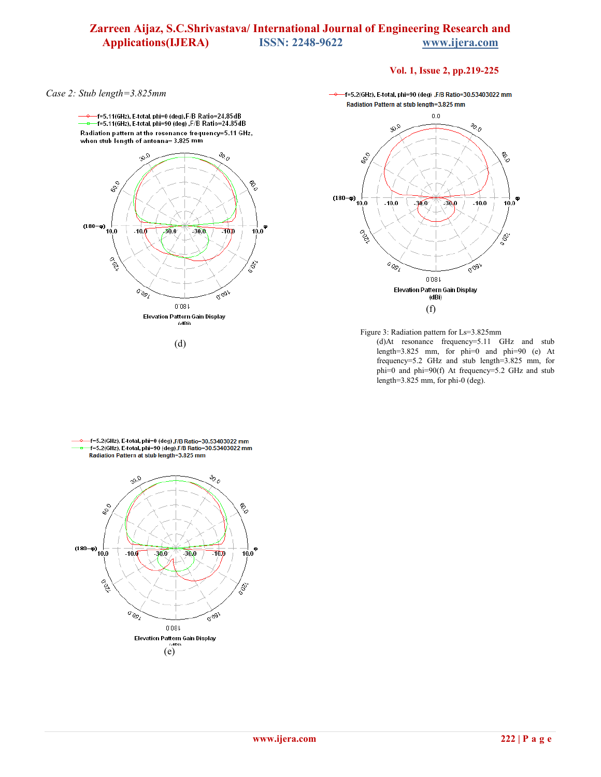### **Vol. 1, Issue 2, pp.219-225**

*Case 2: Stub length=3.825mm* 

–f=5.11(GHz), E-total, phi=0 (deg),F/B Ratio=24.85dB<br>–f=5.11(GHz), E-total, phi=90 (deg) ,F/B Ratio=24.85dB Radiation pattern at the resonance frequency=5.11 GHz, when stub length of antenna=3.825 mm  $\frac{3}{2}$  $a_{\Phi}$ ್ಯೈ  $\frac{6}{3}$  $(180-\varphi)\begin{array}{c} 1 \ -20.0 \end{array}$  $\frac{1}{10.0}$  $-10.0$  $30.9$  $-30.0$  $70p$ **PSD** 18g  $o_{og}$ gogl  $0.08$  f Elevation Pattern Gain Display (dRi)

(d)

f=5.2(GHz), E-total, phi=90 (deg), F/B Ratio=30.53403022 mm Radiation Pattern at stub length=3.825 mm



Figure 3: Radiation pattern for Ls=3.825mm

(d)At resonance frequency=5.11 GHz and stub length=3.825 mm, for phi=0 and phi=90 (e) At frequency=5.2 GHz and stub length=3.825 mm, for phi=0 and phi=90(f) At frequency=5.2 GHz and stub length=3.825 mm, for phi-0 (deg).



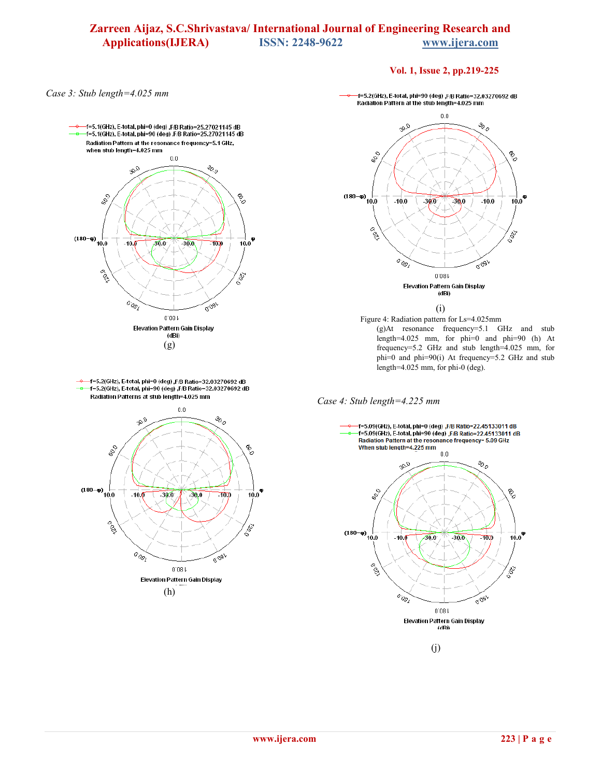### **Vol. 1, Issue 2, pp.219-225**

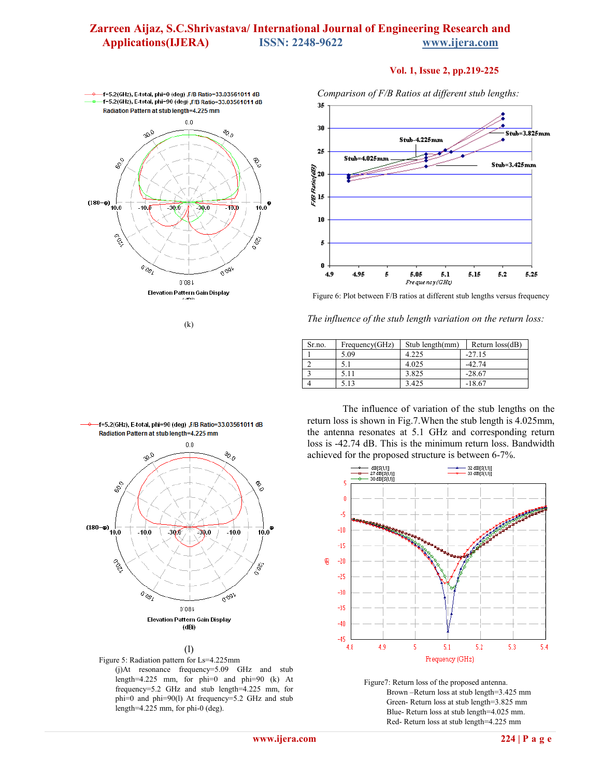### **Vol. 1, Issue 2, pp.219-225**



 $(k)$ 

*Comparison of F/B Ratios at different stub lengths:*



Figure 6: Plot between F/B ratios at different stub lengths versus frequency

| Sr.no. | Frequency(GHz) | Stub length(mm) | Return $loss(dB)$ |
|--------|----------------|-----------------|-------------------|
|        | 5.09           | 4.225           | $-27.15$          |
|        | 5.1            | 4.025           | $-42.74$          |
|        | 5.11           | 3.825           | $-28.67$          |
|        | 5.13           | 3.425           | $-18.67$          |



(l)



The influence of variation of the stub lengths on the return loss is shown in Fig.7.When the stub length is 4.025mm, the antenna resonates at 5.1 GHz and corresponding return loss is -42.74 dB. This is the minimum return loss. Bandwidth achieved for the proposed structure is between 6-7%.



Figure7: Return loss of the proposed antenna. Brown –Return loss at stub length=3.425 mm Green- Return loss at stub length=3.825 mm Blue- Return loss at stub length=4.025 mm. Red- Return loss at stub length=4.225 mm